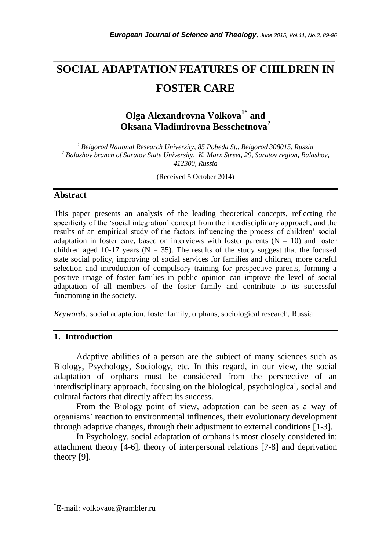# **SOCIAL ADAPTATION FEATURES OF CHILDREN IN FOSTER CARE**

*\_\_\_\_\_\_\_\_\_\_\_\_\_\_\_\_\_\_\_\_\_\_\_\_\_\_\_\_\_\_\_\_\_\_\_\_\_\_\_\_\_\_\_\_\_\_\_\_\_\_\_\_\_\_\_\_\_\_\_\_\_\_\_\_\_\_\_\_\_\_\_*

## **Olga Alexandrovna Volkova1\* and Oksana Vladimirovna Besschetnova<sup>2</sup>**

*<sup>1</sup>Belgorod National Research University, 85 Pobeda St., Belgorod 308015, Russia <sup>2</sup> Balashov branch of Saratov State University, K. Marx Street, 29, Saratov region, Balashov, 412300, Russia*

(Received 5 October 2014)

## **Abstract**

This paper presents an analysis of the leading theoretical concepts, reflecting the specificity of the "social integration" concept from the interdisciplinary approach, and the results of an empirical study of the factors influencing the process of children" social adaptation in foster care, based on interviews with foster parents  $(N = 10)$  and foster children aged 10-17 years ( $N = 35$ ). The results of the study suggest that the focused state social policy, improving of social services for families and children, more careful selection and introduction of compulsory training for prospective parents, forming a positive image of foster families in public opinion can improve the level of social adaptation of all members of the foster family and contribute to its successful functioning in the society.

*Keywords:* social adaptation, foster family, orphans, sociological research, Russia

### **1. Introduction**

Adaptive abilities of a person are the subject of many sciences such as Biology, Psychology, Sociology, etc. In this regard, in our view, the social adaptation of orphans must be considered from the perspective of an interdisciplinary approach, focusing on the biological, psychological, social and cultural factors that directly affect its success.

From the Biology point of view, adaptation can be seen as a way of organisms" reaction to environmental influences, their evolutionary development through adaptive changes, through their adjustment to external conditions [1-3].

In Psychology, social adaptation of orphans is most closely considered in: attachment theory [4-6], theory of interpersonal relations [7-8] and deprivation theory [9].

l

<sup>\*</sup>E-mail: volkovaoa@rambler.ru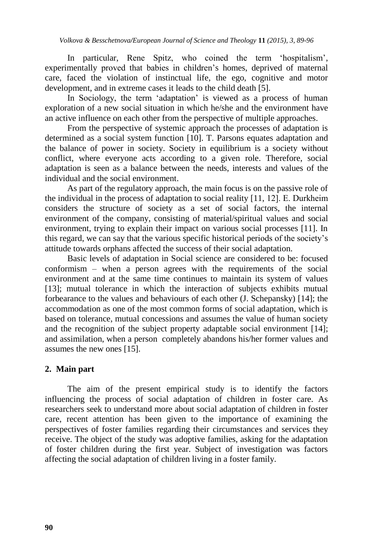In particular, Rene Spitz, who coined the term "hospitalism", experimentally proved that babies in children"s homes, deprived of maternal care, faced the violation of instinctual life, the ego, cognitive and motor development, and in extreme cases it leads to the child death [5].

In Sociology, the term 'adaptation' is viewed as a process of human exploration of a new social situation in which he/she and the environment have an active influence on each other from the perspective of multiple approaches.

From the perspective of systemic approach the processes of adaptation is determined as a social system function [10]. T. Parsons equates adaptation and the balance of power in society. Society in equilibrium is a society without conflict, where everyone acts according to a given role. Therefore, social adaptation is seen as a balance between the needs, interests and values of the individual and the social environment.

As part of the regulatory approach, the main focus is on the passive role of the individual in the process of adaptation to social reality [11, 12]. Е. Durkheim considers the structure of society as a set of social factors, the internal environment of the company, consisting of material/spiritual values and social environment, trying to explain their impact on various social processes [11]. In this regard, we can say that the various specific historical periods of the society"s attitude towards orphans affected the success of their social adaptation.

Basic levels of adaptation in Social science are considered to be: focused conformism – when a person agrees with the requirements of the social environment and at the same time continues to maintain its system of values [13]; mutual tolerance in which the interaction of subjects exhibits mutual forbearance to the values and behaviours of each other (J. Schepansky) [14]; the accommodation as one of the most common forms of social adaptation, which is based on tolerance, mutual concessions and assumes the value of human society and the recognition of the subject property adaptable social environment [14]; and assimilation, when a person completely abandons his/her former values and assumes the new ones [15].

## **2. Main part**

The aim of the present empirical study is to identify the factors influencing the process of social adaptation of children in foster care. As researchers seek to understand more about social adaptation of children in foster care, recent attention has been given to the importance of examining the perspectives of foster families regarding their circumstances and services they receive. The object of the study was adoptive families, asking for the adaptation of foster children during the first year. Subject of investigation was factors affecting the social adaptation of children living in a foster family.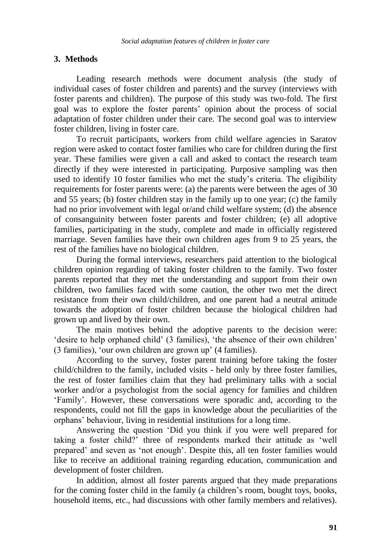## **3. Methods**

Leading research methods were document analysis (the study of individual cases of foster children and parents) and the survey (interviews with foster parents and children). The purpose of this study was two-fold. The first goal was to explore the foster parents" opinion about the process of social adaptation of foster children under their care. The second goal was to interview foster children, living in foster care.

To recruit participants, workers from child welfare agencies in Saratov region were asked to contact foster families who care for children during the first year. These families were given a call and asked to contact the research team directly if they were interested in participating. Purposive sampling was then used to identify 10 foster families who met the study"s criteria. The eligibility requirements for foster parents were: (a) the parents were between the ages of 30 and 55 years; (b) foster children stay in the family up to one year; (c) the family had no prior involvement with legal or/and child welfare system; (d) the absence of consanguinity between foster parents and foster children; (e) all adoptive families, participating in the study, complete and made in officially registered marriage. Seven families have their own children ages from 9 to 25 years, the rest of the families have no biological children.

During the formal interviews, researchers paid attention to the biological children opinion regarding of taking foster children to the family. Two foster parents reported that they met the understanding and support from their own children, two families faced with some caution, the other two met the direct resistance from their own child/children, and one parent had a neutral attitude towards the adoption of foster children because the biological children had grown up and lived by their own.

The main motives behind the adoptive parents to the decision were: 'desire to help orphaned child' (3 families), 'the absence of their own children' (3 families), "our own children are grown up" (4 families).

According to the survey, foster parent training before taking the foster child/children to the family, included visits - held only by three foster families, the rest of foster families claim that they had preliminary talks with a social worker and/or a psychologist from the social agency for families and children "Family". However, these conversations were sporadic and, according to the respondents, could not fill the gaps in knowledge about the peculiarities of the orphans" behaviour, living in residential institutions for a long time.

Answering the question "Did you think if you were well prepared for taking a foster child?" three of respondents marked their attitude as "well prepared" and seven as "not enough". Despite this, all ten foster families would like to receive an additional training regarding education, communication and development of foster children.

In addition, almost all foster parents argued that they made preparations for the coming foster child in the family (a children"s room, bought toys, books, household items, etc., had discussions with other family members and relatives).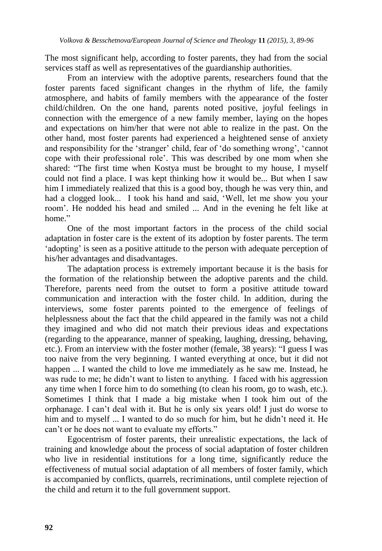The most significant help, according to foster parents, they had from the social services staff as well as representatives of the guardianship authorities.

From an interview with the adoptive parents, researchers found that the foster parents faced significant changes in the rhythm of life, the family atmosphere, and habits of family members with the appearance of the foster child/children. On the one hand, parents noted positive, joyful feelings in connection with the emergence of a new family member, laying on the hopes and expectations on him/her that were not able to realize in the past. On the other hand, most foster parents had experienced a heightened sense of anxiety and responsibility for the "stranger" child, fear of "do something wrong", "cannot cope with their professional role". This was described by one mom when she shared: "The first time when Kostya must be brought to my house, I myself could not find a place. I was kept thinking how it would be... But when I saw him I immediately realized that this is a good boy, though he was very thin, and had a clogged look... I took his hand and said, "Well, let me show you your room". He nodded his head and smiled ... And in the evening he felt like at home."

One of the most important factors in the process of the child social adaptation in foster care is the extent of its adoption by foster parents. The term 'adopting' is seen as a positive attitude to the person with adequate perception of his/her advantages and disadvantages.

The adaptation process is extremely important because it is the basis for the formation of the relationship between the adoptive parents and the child. Therefore, parents need from the outset to form a positive attitude toward communication and interaction with the foster child. In addition, during the interviews, some foster parents pointed to the emergence of feelings of helplessness about the fact that the child appeared in the family was not a child they imagined and who did not match their previous ideas and expectations (regarding to the appearance, manner of speaking, laughing, dressing, behaving, etc.). From an interview with the foster mother (female, 38 years): "I guess I was too naive from the very beginning. I wanted everything at once, but it did not happen ... I wanted the child to love me immediately as he saw me. Instead, he was rude to me; he didn't want to listen to anything. I faced with his aggression any time when I force him to do something (to clean his room, go to wash, etc.). Sometimes I think that I made a big mistake when I took him out of the orphanage. I can"t deal with it. But he is only six years old! I just do worse to him and to myself ... I wanted to do so much for him, but he didn't need it. He can"t or he does not want to evaluate my efforts."

Egocentrism of foster parents, their unrealistic expectations, the lack of training and knowledge about the process of social adaptation of foster children who live in residential institutions for a long time, significantly reduce the effectiveness of mutual social adaptation of all members of foster family, which is accompanied by conflicts, quarrels, recriminations, until complete rejection of the child and return it to the full government support.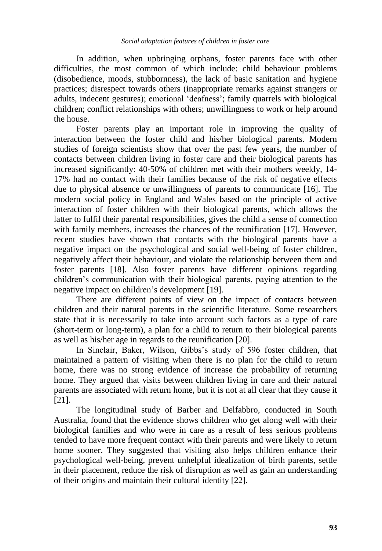In addition, when upbringing orphans, foster parents face with other difficulties, the most common of which include: child behaviour problems (disobedience, moods, stubbornness), the lack of basic sanitation and hygiene practices; disrespect towards others (inappropriate remarks against strangers or adults, indecent gestures); emotional "deafness"; family quarrels with biological children; conflict relationships with others; unwillingness to work or help around the house.

Foster parents play an important role in improving the quality of interaction between the foster child and his/her biological parents. Modern studies of foreign scientists show that over the past few years, the number of contacts between children living in foster care and their biological parents has increased significantly: 40-50% of children met with their mothers weekly, 14- 17% had no contact with their families because of the risk of negative effects due to physical absence or unwillingness of parents to communicate [16]. The modern social policy in England and Wales based on the principle of active interaction of foster children with their biological parents, which allows the latter to fulfil their parental responsibilities, gives the child a sense of connection with family members, increases the chances of the reunification [17]. However, recent studies have shown that contacts with the biological parents have a negative impact on the psychological and social well-being of foster children, negatively affect their behaviour, and violate the relationship between them and foster parents [18]. Also foster parents have different opinions regarding children"s communication with their biological parents, paying attention to the negative impact on children"s development [19].

There are different points of view on the impact of contacts between children and their natural parents in the scientific literature. Some researchers state that it is necessarily to take into account such factors as a type of care (short-term or long-term), a plan for a child to return to their biological parents as well as his/her age in regards to the reunification [20].

In Sinclair, Baker, Wilson, Gibbs's study of 596 foster children, that maintained a pattern of visiting when there is no plan for the child to return home, there was no strong evidence of increase the probability of returning home. They argued that visits between children living in care and their natural parents are associated with return home, but it is not at all clear that they cause it [21].

The longitudinal study of Barber and Delfabbro, conducted in South Australia, found that the evidence shows children who get along well with their biological families and who were in care as a result of less serious problems tended to have more frequent contact with their parents and were likely to return home sooner. They suggested that visiting also helps children enhance their psychological well-being, prevent unhelpful idealization of birth parents, settle in their placement, reduce the risk of disruption as well as gain an understanding of their origins and maintain their cultural identity [22].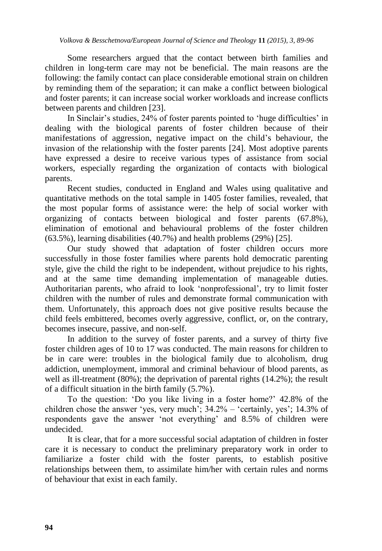Some researchers argued that the contact between birth families and children in long-term care may not be beneficial. The main reasons are the following: the family contact can place considerable emotional strain on children by reminding them of the separation; it can make a conflict between biological and foster parents; it can increase social worker workloads and increase conflicts between parents and children [23].

In Sinclair's studies, 24% of foster parents pointed to 'huge difficulties' in dealing with the biological parents of foster children because of their manifestations of aggression, negative impact on the child"s behaviour, the invasion of the relationship with the foster parents [24]. Most adoptive parents have expressed a desire to receive various types of assistance from social workers, especially regarding the organization of contacts with biological parents.

Recent studies, conducted in England and Wales using qualitative and quantitative methods on the total sample in 1405 foster families, revealed, that the most popular forms of assistance were: the help of social worker with organizing of contacts between biological and foster parents (67.8%), elimination of emotional and behavioural problems of the foster children (63.5%), learning disabilities (40.7%) and health problems (29%) [25].

Our study showed that adaptation of foster children occurs more successfully in those foster families where parents hold democratic parenting style, give the child the right to be independent, without prejudice to his rights, and at the same time demanding implementation of manageable duties. Authoritarian parents, who afraid to look "nonprofessional", try to limit foster children with the number of rules and demonstrate formal communication with them. Unfortunately, this approach does not give positive results because the child feels embittered, becomes overly aggressive, conflict, or, on the contrary, becomes insecure, passive, and non-self.

In addition to the survey of foster parents, and a survey of thirty five foster children ages of 10 to 17 was conducted. The main reasons for children to be in care were: troubles in the biological family due to alcoholism, drug addiction, unemployment, immoral and criminal behaviour of blood parents, as well as ill-treatment (80%); the deprivation of parental rights (14.2%); the result of a difficult situation in the birth family (5.7%).

To the question: "Do you like living in a foster home?" 42.8% of the children chose the answer 'yes, very much';  $34.2\%$  – 'certainly, yes';  $14.3\%$  of respondents gave the answer "not everything" and 8.5% of children were undecided.

It is clear, that for a more successful social adaptation of children in foster care it is necessary to conduct the preliminary preparatory work in order to familiarize a foster child with the foster parents, to establish positive relationships between them, to assimilate him/her with certain rules and norms of behaviour that exist in each family.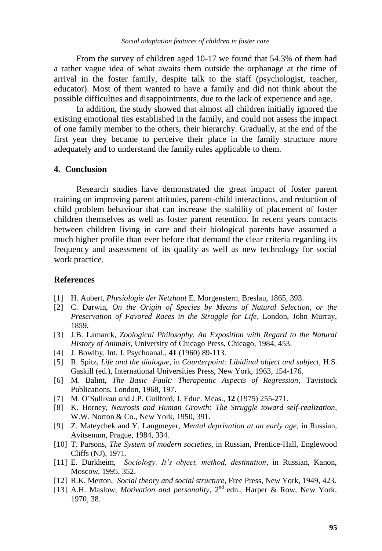From the survey of children aged 10-17 we found that 54.3% of them had a rather vague idea of what awaits them outside the orphanage at the time of arrival in the foster family, despite talk to the staff (psychologist, teacher, educator). Most of them wanted to have a family and did not think about the possible difficulties and disappointments, due to the lack of experience and age.

In addition, the study showed that almost all children initially ignored the existing emotional ties established in the family, and could not assess the impact of one family member to the others, their hierarchy. Gradually, at the end of the first year they became to perceive their place in the family structure more adequately and to understand the family rules applicable to them.

### **4. Conclusion**

Research studies have demonstrated the great impact of foster parent training on improving parent attitudes, parent-child interactions, and reduction of child problem behaviour that can increase the stability of placement of foster children themselves as well as foster parent retention. In recent years contacts between children living in care and their biological parents have assumed a much higher profile than ever before that demand the clear criteria regarding its frequency and assessment of its quality as well as new technology for social work practice.

#### **References**

- [1] H. Aubert, *Physiologie der Netzhaut* E. Morgenstern, Breslau, 1865, 393.
- [2] C. Darwin, *On the Origin of Species by Means of Natural Selection, or the Preservation of Favored Races in the Struggle for Life*, London, John Murray, 1859.
- [3] J.B. Lamarck, *Zoological Philosophy. An Exposition with Regard to the Natural History of Animals*, University of Chicago Press, Chicago, 1984, 453.
- [4] J. Bowlby, Int. J. Psychoanal., **41** (1960) 89-113.
- [5] R. Spitz, *Life and the dialogue*, in *Counterpoint: Libidinal object and subject*, H.S. Gaskill (ed.), International Universities Press, New York, 1963, 154-176.
- [6] M. Balint, *The Basic Fault: Therapeutic Aspects of Regression*, Tavistock Publications, London, 1968, 197.
- [7] M. O'Sullivan and J.P. Guilford, J. Educ. Meas., **12** (1975) 255-271.
- [8] K. Horney, *Neurosis and Human Growth: The Struggle toward self-realization*, W.W. Norton & Co., New York, 1950, 391.
- [9] Z. Mateychek and Y. Langmeyer, *Mental deprivation at an early age*, in Russian, Avitsenum, Prague, 1984, 334.
- [10] T. Parsons, *The System of modern societies*, in Russian, Prentice-Hall, Englewood Cliffs (NJ), 1971.
- [11] E. Durkheim, *Sociology. It's object, method, destination*, in Russian, Kanon, Moscow, 1995, 352.
- [12] R.K. Merton, *Social theory and social structure*, Free Press, New York, 1949, 423.
- [13] A.H. Maslow, *Motivation and personality*,  $2<sup>nd</sup>$  edn., Harper & Row, New York, 1970, 38.